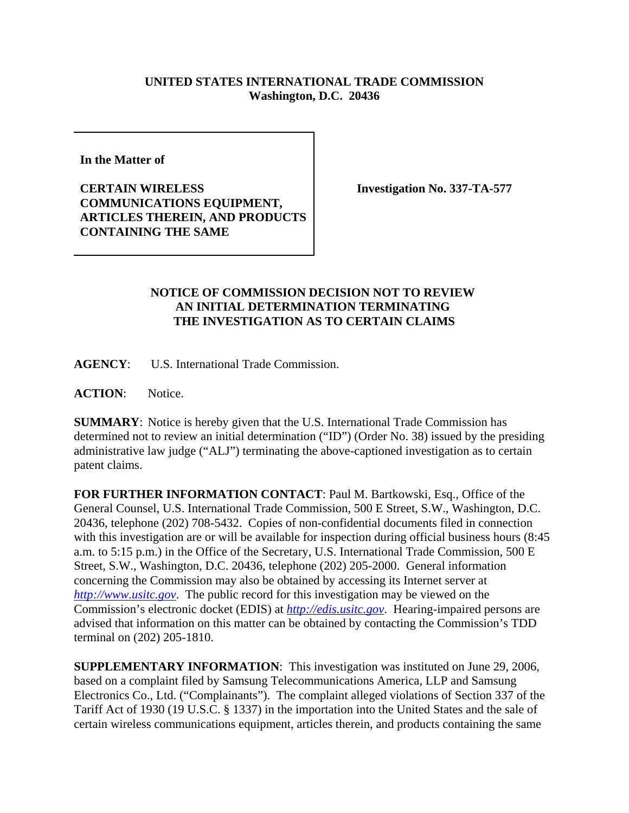## **UNITED STATES INTERNATIONAL TRADE COMMISSION Washington, D.C. 20436**

**In the Matter of** 

**CERTAIN WIRELESS COMMUNICATIONS EQUIPMENT, ARTICLES THEREIN, AND PRODUCTS CONTAINING THE SAME**

**Investigation No. 337-TA-577**

## **NOTICE OF COMMISSION DECISION NOT TO REVIEW AN INITIAL DETERMINATION TERMINATING THE INVESTIGATION AS TO CERTAIN CLAIMS**

**AGENCY**: U.S. International Trade Commission.

**ACTION**: Notice.

**SUMMARY**: Notice is hereby given that the U.S. International Trade Commission has determined not to review an initial determination ("ID") (Order No. 38) issued by the presiding administrative law judge ("ALJ") terminating the above-captioned investigation as to certain patent claims.

**FOR FURTHER INFORMATION CONTACT**: Paul M. Bartkowski, Esq., Office of the General Counsel, U.S. International Trade Commission, 500 E Street, S.W., Washington, D.C. 20436, telephone (202) 708-5432. Copies of non-confidential documents filed in connection with this investigation are or will be available for inspection during official business hours (8:45) a.m. to 5:15 p.m.) in the Office of the Secretary, U.S. International Trade Commission, 500 E Street, S.W., Washington, D.C. 20436, telephone (202) 205-2000. General information concerning the Commission may also be obtained by accessing its Internet server at *http://www.usitc.gov*. The public record for this investigation may be viewed on the Commission's electronic docket (EDIS) at *http://edis.usitc.gov*. Hearing-impaired persons are advised that information on this matter can be obtained by contacting the Commission's TDD terminal on (202) 205-1810.

**SUPPLEMENTARY INFORMATION**: This investigation was instituted on June 29, 2006, based on a complaint filed by Samsung Telecommunications America, LLP and Samsung Electronics Co., Ltd. ("Complainants"). The complaint alleged violations of Section 337 of the Tariff Act of 1930 (19 U.S.C. § 1337) in the importation into the United States and the sale of certain wireless communications equipment, articles therein, and products containing the same